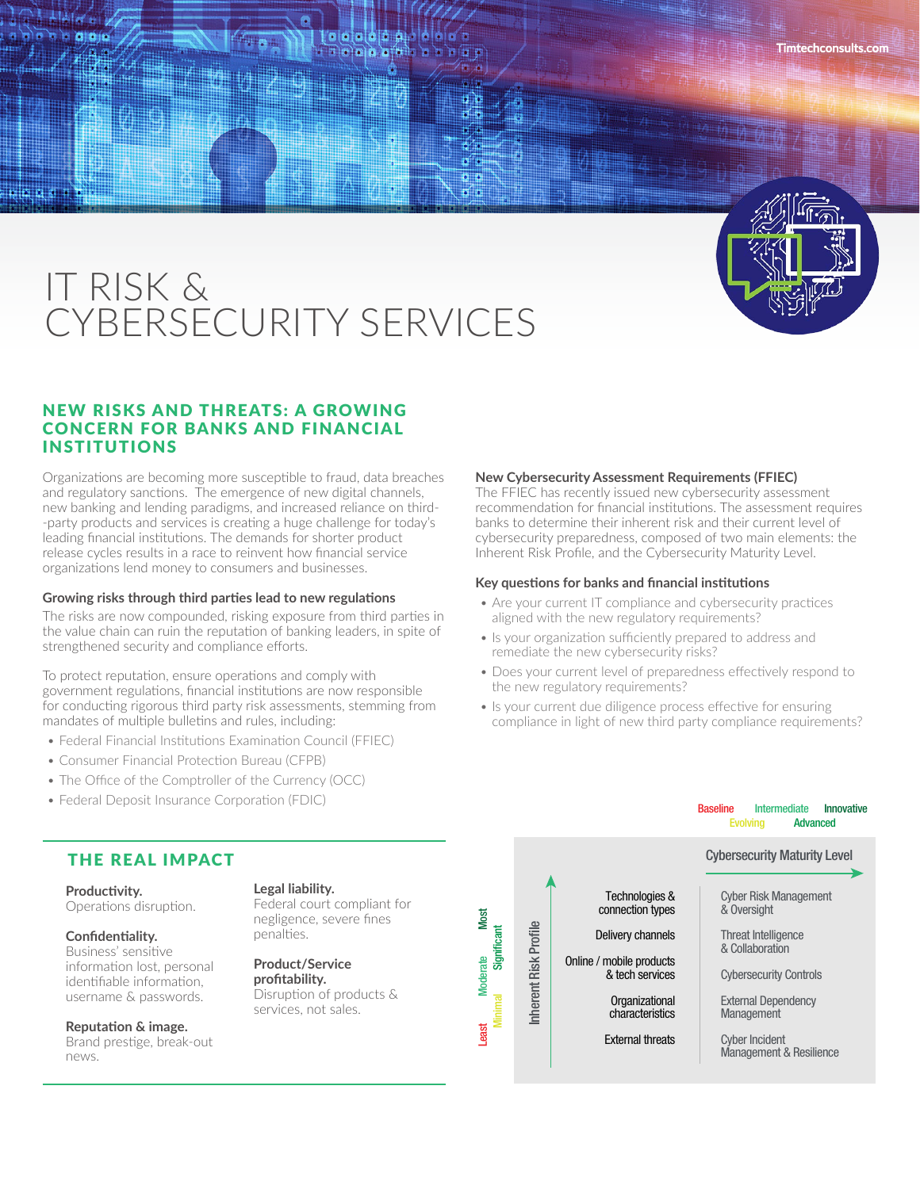

\* \* \* \* \*

# IT RISK & CYBERSECURITY SERVICES

### NEW RISKS AND THREATS: A GROWING CONCERN FOR BANKS AND FINANCIAL INSTITUTIONS

Organizations are becoming more susceptible to fraud, data breaches and regulatory sanctions. The emergence of new digital channels, new banking and lending paradigms, and increased reliance on third- -party products and services is creating a huge challenge for today's leading financial institutions. The demands for shorter product release cycles results in a race to reinvent how financial service organizations lend money to consumers and businesses.

#### **Growing risks through third parties lead to new regulations**

The risks are now compounded, risking exposure from third parties in the value chain can ruin the reputation of banking leaders, in spite of strengthened security and compliance efforts.

To protect reputation, ensure operations and comply with government regulations, financial institutions are now responsible for conducting rigorous third party risk assessments, stemming from mandates of multiple bulletins and rules, including:

- Federal Financial Institutions Examination Council (FFIEC)
- Consumer Financial Protection Bureau (CFPB)
- The Office of the Comptroller of the Currency (OCC)
- Federal Deposit Insurance Corporation (FDIC)

## The FFIEC has recently issued new cybersecurity assessment

recommendation for financial institutions. The assessment requires banks to determine their inherent risk and their current level of cybersecurity preparedness, composed of two main elements: the Inherent Risk Profile, and the Cybersecurity Maturity Level.

#### **Key questions for banks and financial institutions**

**New Cybersecurity Assessment Requirements (FFIEC)**

- Are your current IT compliance and cybersecurity practices aligned with the new regulatory requirements?
- Is your organization sufficiently prepared to address and remediate the new cybersecurity risks?
- Does your current level of preparedness effectively respond to the new regulatory requirements?
- Is your current due diligence process effective for ensuring compliance in light of new third party compliance requirements?

#### Evolving AdvancedCybersecurity Maturity Level THE REAL IMPACT **Legal liability. Productivity.**  Technologies & Cyber Risk Management Federal court compliant for Operations disruption. connection types & Oversight Most Least Moderate Most negligence, severe fines Inherent Risk Profile Inherent Risk Profile Significant Minimal Significant penalties. Delivery channels Threat Intelligence **Confidentiality.**  & Collaboration Business' sensitive **Moderate** Online / mobile products **Product/Service**  information lost, personal & tech services Cybersecurity Controls **profitability.** identifiable information, Disruption of products & username & passwords. **Organizational** External Dependency services, not sales. characteristics **Management Reputation & image. east**

百文

Brand prestige, break-out news.

External threats

Cyber Incident Management & Resilience

Baseline Intermediate Innovative